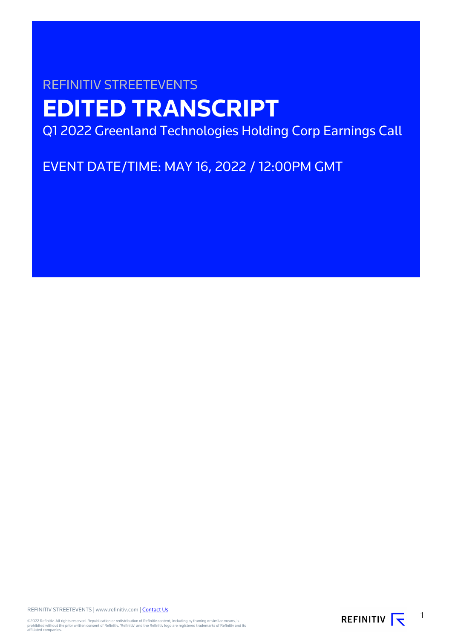# REFINITIV STREETEVENTS **EDITED TRANSCRIPT**

Q1 2022 Greenland Technologies Holding Corp Earnings Call

EVENT DATE/TIME: MAY 16, 2022 / 12:00PM GMT

REFINITIV STREETEVENTS | www.refinitiv.com | [Contact Us](https://www.refinitiv.com/en/contact-us)

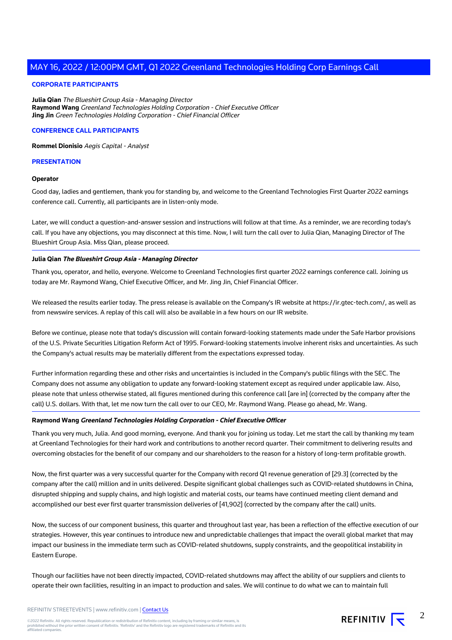# **CORPORATE PARTICIPANTS**

**Julia Qian** The Blueshirt Group Asia - Managing Director **Raymond Wang** Greenland Technologies Holding Corporation - Chief Executive Officer **Jing Jin** Green Technologies Holding Corporation - Chief Financial Officer

# **CONFERENCE CALL PARTICIPANTS**

**Rommel Dionisio** Aegis Capital - Analyst

# **PRESENTATION**

# **Operator**

Good day, ladies and gentlemen, thank you for standing by, and welcome to the Greenland Technologies First Quarter 2022 earnings conference call. Currently, all participants are in listen-only mode.

Later, we will conduct a question-and-answer session and instructions will follow at that time. As a reminder, we are recording today's call. If you have any objections, you may disconnect at this time. Now, I will turn the call over to Julia Qian, Managing Director of The Blueshirt Group Asia. Miss Qian, please proceed.

# **Julia Qian The Blueshirt Group Asia - Managing Director**

Thank you, operator, and hello, everyone. Welcome to Greenland Technologies first quarter 2022 earnings conference call. Joining us today are Mr. Raymond Wang, Chief Executive Officer, and Mr. Jing Jin, Chief Financial Officer.

We released the results earlier today. The press release is available on the Company's IR website at https://ir.gtec-tech.com/, as well as from newswire services. A replay of this call will also be available in a few hours on our IR website.

Before we continue, please note that today's discussion will contain forward-looking statements made under the Safe Harbor provisions of the U.S. Private Securities Litigation Reform Act of 1995. Forward-looking statements involve inherent risks and uncertainties. As such the Company's actual results may be materially different from the expectations expressed today.

Further information regarding these and other risks and uncertainties is included in the Company's public filings with the SEC. The Company does not assume any obligation to update any forward-looking statement except as required under applicable law. Also, please note that unless otherwise stated, all figures mentioned during this conference call [are in] (corrected by the company after the call) U.S. dollars. With that, let me now turn the call over to our CEO, Mr. Raymond Wang. Please go ahead, Mr. Wang.

# **Raymond Wang Greenland Technologies Holding Corporation - Chief Executive Officer**

Thank you very much, Julia. And good morning, everyone. And thank you for joining us today. Let me start the call by thanking my team at Greenland Technologies for their hard work and contributions to another record quarter. Their commitment to delivering results and overcoming obstacles for the benefit of our company and our shareholders to the reason for a history of long-term profitable growth.

Now, the first quarter was a very successful quarter for the Company with record Q1 revenue generation of [29.3] (corrected by the company after the call) million and in units delivered. Despite significant global challenges such as COVID-related shutdowns in China, disrupted shipping and supply chains, and high logistic and material costs, our teams have continued meeting client demand and accomplished our best ever first quarter transmission deliveries of [41,902] (corrected by the company after the call) units.

Now, the success of our component business, this quarter and throughout last year, has been a reflection of the effective execution of our strategies. However, this year continues to introduce new and unpredictable challenges that impact the overall global market that may impact our business in the immediate term such as COVID-related shutdowns, supply constraints, and the geopolitical instability in Eastern Europe.

Though our facilities have not been directly impacted, COVID-related shutdowns may affect the ability of our suppliers and clients to operate their own facilities, resulting in an impact to production and sales. We will continue to do what we can to maintain full



2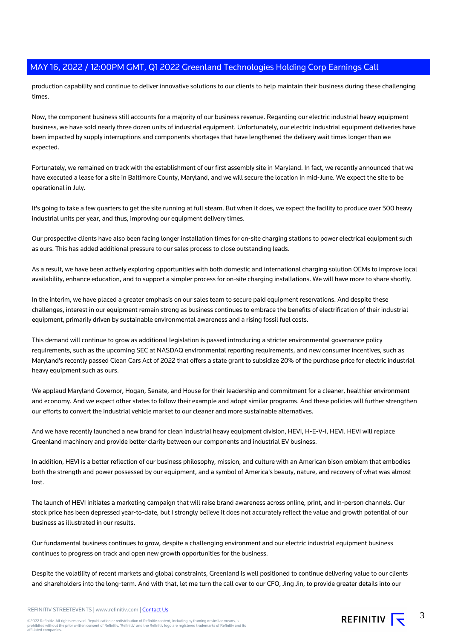production capability and continue to deliver innovative solutions to our clients to help maintain their business during these challenging times.

Now, the component business still accounts for a majority of our business revenue. Regarding our electric industrial heavy equipment business, we have sold nearly three dozen units of industrial equipment. Unfortunately, our electric industrial equipment deliveries have been impacted by supply interruptions and components shortages that have lengthened the delivery wait times longer than we expected.

Fortunately, we remained on track with the establishment of our first assembly site in Maryland. In fact, we recently announced that we have executed a lease for a site in Baltimore County, Maryland, and we will secure the location in mid-June. We expect the site to be operational in July.

It's going to take a few quarters to get the site running at full steam. But when it does, we expect the facility to produce over 500 heavy industrial units per year, and thus, improving our equipment delivery times.

Our prospective clients have also been facing longer installation times for on-site charging stations to power electrical equipment such as ours. This has added additional pressure to our sales process to close outstanding leads.

As a result, we have been actively exploring opportunities with both domestic and international charging solution OEMs to improve local availability, enhance education, and to support a simpler process for on-site charging installations. We will have more to share shortly.

In the interim, we have placed a greater emphasis on our sales team to secure paid equipment reservations. And despite these challenges, interest in our equipment remain strong as business continues to embrace the benefits of electrification of their industrial equipment, primarily driven by sustainable environmental awareness and a rising fossil fuel costs.

This demand will continue to grow as additional legislation is passed introducing a stricter environmental governance policy requirements, such as the upcoming SEC at NASDAQ environmental reporting requirements, and new consumer incentives, such as Maryland's recently passed Clean Cars Act of 2022 that offers a state grant to subsidize 20% of the purchase price for electric industrial heavy equipment such as ours.

We applaud Maryland Governor, Hogan, Senate, and House for their leadership and commitment for a cleaner, healthier environment and economy. And we expect other states to follow their example and adopt similar programs. And these policies will further strengthen our efforts to convert the industrial vehicle market to our cleaner and more sustainable alternatives.

And we have recently launched a new brand for clean industrial heavy equipment division, HEVI, H-E-V-I, HEVI. HEVI will replace Greenland machinery and provide better clarity between our components and industrial EV business.

In addition, HEVI is a better reflection of our business philosophy, mission, and culture with an American bison emblem that embodies both the strength and power possessed by our equipment, and a symbol of America's beauty, nature, and recovery of what was almost lost.

The launch of HEVI initiates a marketing campaign that will raise brand awareness across online, print, and in-person channels. Our stock price has been depressed year-to-date, but I strongly believe it does not accurately reflect the value and growth potential of our business as illustrated in our results.

Our fundamental business continues to grow, despite a challenging environment and our electric industrial equipment business continues to progress on track and open new growth opportunities for the business.

Despite the volatility of recent markets and global constraints, Greenland is well positioned to continue delivering value to our clients and shareholders into the long-term. And with that, let me turn the call over to our CFO, Jing Jin, to provide greater details into our

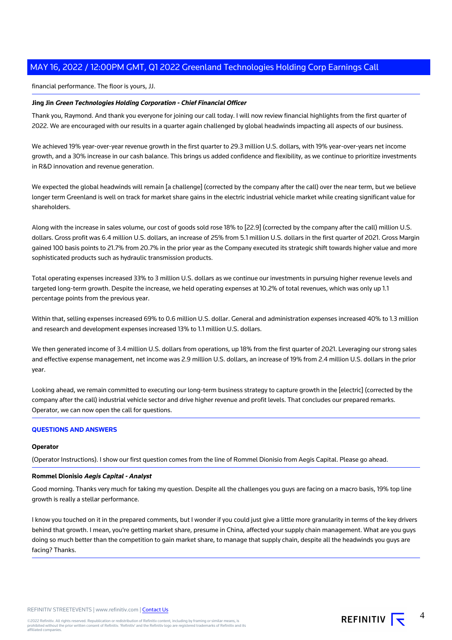# financial performance. The floor is yours, JJ.

# **Jing Jin Green Technologies Holding Corporation - Chief Financial Officer**

Thank you, Raymond. And thank you everyone for joining our call today. I will now review financial highlights from the first quarter of 2022. We are encouraged with our results in a quarter again challenged by global headwinds impacting all aspects of our business.

We achieved 19% year-over-year revenue growth in the first quarter to 29.3 million U.S. dollars, with 19% year-over-years net income growth, and a 30% increase in our cash balance. This brings us added confidence and flexibility, as we continue to prioritize investments in R&D innovation and revenue generation.

We expected the global headwinds will remain [a challenge] (corrected by the company after the call) over the near term, but we believe longer term Greenland is well on track for market share gains in the electric industrial vehicle market while creating significant value for shareholders.

Along with the increase in sales volume, our cost of goods sold rose 18% to [22.9] (corrected by the company after the call) million U.S. dollars. Gross profit was 6.4 million U.S. dollars, an increase of 25% from 5.1 million U.S. dollars in the first quarter of 2021. Gross Margin gained 100 basis points to 21.7% from 20.7% in the prior year as the Company executed its strategic shift towards higher value and more sophisticated products such as hydraulic transmission products.

Total operating expenses increased 33% to 3 million U.S. dollars as we continue our investments in pursuing higher revenue levels and targeted long-term growth. Despite the increase, we held operating expenses at 10.2% of total revenues, which was only up 1.1 percentage points from the previous year.

Within that, selling expenses increased 69% to 0.6 million U.S. dollar. General and administration expenses increased 40% to 1.3 million and research and development expenses increased 13% to 1.1 million U.S. dollars.

We then generated income of 3.4 million U.S. dollars from operations, up 18% from the first quarter of 2021. Leveraging our strong sales and effective expense management, net income was 2.9 million U.S. dollars, an increase of 19% from 2.4 million U.S. dollars in the prior year.

Looking ahead, we remain committed to executing our long-term business strategy to capture growth in the [electric] (corrected by the company after the call) industrial vehicle sector and drive higher revenue and profit levels. That concludes our prepared remarks. Operator, we can now open the call for questions.

## **QUESTIONS AND ANSWERS**

#### **Operator**

(Operator Instructions). I show our first question comes from the line of Rommel Dionisio from Aegis Capital. Please go ahead.

#### **Rommel Dionisio Aegis Capital - Analyst**

Good morning. Thanks very much for taking my question. Despite all the challenges you guys are facing on a macro basis, 19% top line growth is really a stellar performance.

I know you touched on it in the prepared comments, but I wonder if you could just give a little more granularity in terms of the key drivers behind that growth. I mean, you're getting market share, presume in China, affected your supply chain management. What are you guys doing so much better than the competition to gain market share, to manage that supply chain, despite all the headwinds you guys are facing? Thanks.

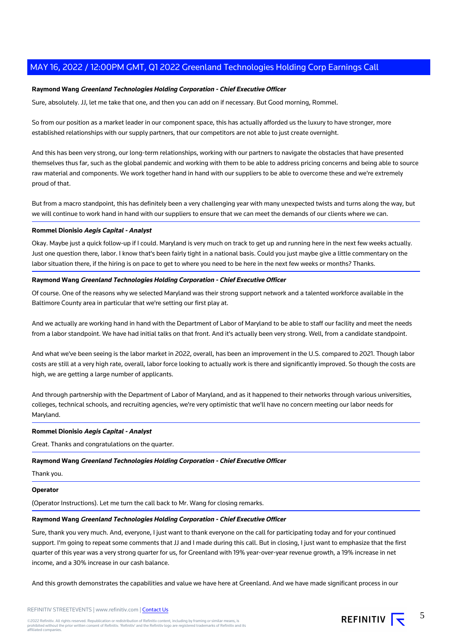# **Raymond Wang Greenland Technologies Holding Corporation - Chief Executive Officer**

Sure, absolutely. JJ, let me take that one, and then you can add on if necessary. But Good morning, Rommel.

So from our position as a market leader in our component space, this has actually afforded us the luxury to have stronger, more established relationships with our supply partners, that our competitors are not able to just create overnight.

And this has been very strong, our long-term relationships, working with our partners to navigate the obstacles that have presented themselves thus far, such as the global pandemic and working with them to be able to address pricing concerns and being able to source raw material and components. We work together hand in hand with our suppliers to be able to overcome these and we're extremely proud of that.

But from a macro standpoint, this has definitely been a very challenging year with many unexpected twists and turns along the way, but we will continue to work hand in hand with our suppliers to ensure that we can meet the demands of our clients where we can.

# **Rommel Dionisio Aegis Capital - Analyst**

Okay. Maybe just a quick follow-up if I could. Maryland is very much on track to get up and running here in the next few weeks actually. Just one question there, labor. I know that's been fairly tight in a national basis. Could you just maybe give a little commentary on the labor situation there, if the hiring is on pace to get to where you need to be here in the next few weeks or months? Thanks.

# **Raymond Wang Greenland Technologies Holding Corporation - Chief Executive Officer**

Of course. One of the reasons why we selected Maryland was their strong support network and a talented workforce available in the Baltimore County area in particular that we're setting our first play at.

And we actually are working hand in hand with the Department of Labor of Maryland to be able to staff our facility and meet the needs from a labor standpoint. We have had initial talks on that front. And it's actually been very strong. Well, from a candidate standpoint.

And what we've been seeing is the labor market in 2022, overall, has been an improvement in the U.S. compared to 2021. Though labor costs are still at a very high rate, overall, labor force looking to actually work is there and significantly improved. So though the costs are high, we are getting a large number of applicants.

And through partnership with the Department of Labor of Maryland, and as it happened to their networks through various universities, colleges, technical schools, and recruiting agencies, we're very optimistic that we'll have no concern meeting our labor needs for Maryland.

#### **Rommel Dionisio Aegis Capital - Analyst**

Great. Thanks and congratulations on the quarter.

#### **Raymond Wang Greenland Technologies Holding Corporation - Chief Executive Officer**

Thank you.

#### **Operator**

(Operator Instructions). Let me turn the call back to Mr. Wang for closing remarks.

# **Raymond Wang Greenland Technologies Holding Corporation - Chief Executive Officer**

Sure, thank you very much. And, everyone, I just want to thank everyone on the call for participating today and for your continued support. I'm going to repeat some comments that JJ and I made during this call. But in closing, I just want to emphasize that the first quarter of this year was a very strong quarter for us, for Greenland with 19% year-over-year revenue growth, a 19% increase in net income, and a 30% increase in our cash balance.

And this growth demonstrates the capabilities and value we have here at Greenland. And we have made significant process in our



5